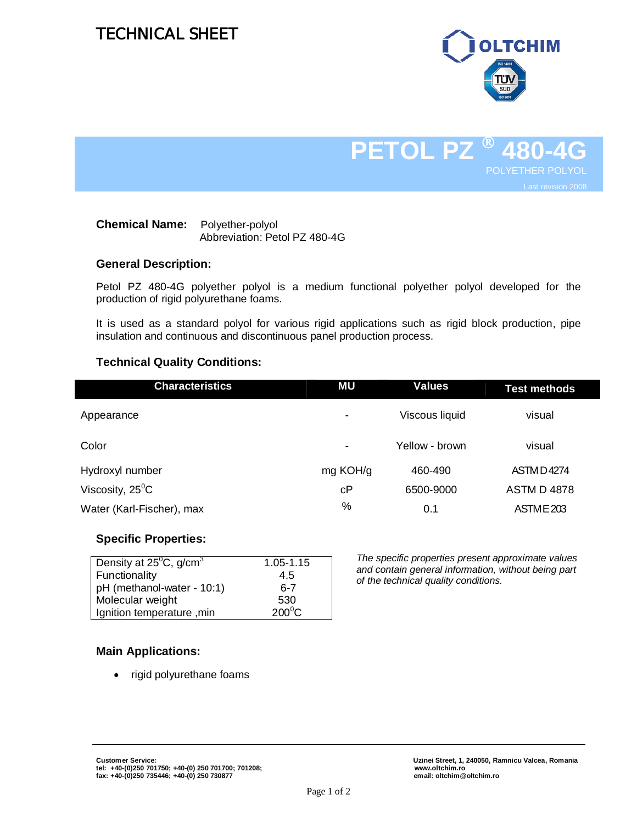# TECHNICAL SHEET



# **PETOL PZ 480-4G** POLYETHER POLYOL Last revision 2008

### **Chemical Name:** Polyether-polyol Abbreviation: Petol PZ 480-4G

### **General Description:**

Petol PZ 480-4G polyether polyol is a medium functional polyether polyol developed for the production of rigid polyurethane foams.

It is used as a standard polyol for various rigid applications such as rigid block production, pipe insulation and continuous and discontinuous panel production process.

### **Technical Quality Conditions:**

| <b>Characteristics</b>    | ΜU             | Values         | <b>Test methods</b> |
|---------------------------|----------------|----------------|---------------------|
| Appearance                | $\blacksquare$ | Viscous liquid | visual              |
| Color                     | $\,$ $\,$      | Yellow - brown | visual              |
| Hydroxyl number           | mg KOH/g       | 460-490        | <b>ASTMD4274</b>    |
| Viscosity, $25^{\circ}$ C | сP             | 6500-9000      | <b>ASTM D 4878</b>  |
| Water (Karl-Fischer), max | %              | 0.1            | ASTME 203           |

### **Specific Properties:**

| Density at $25^{\circ}$ C, g/cm <sup>3</sup> | 1.05-1.15       |
|----------------------------------------------|-----------------|
| Functionality                                | 4.5             |
| pH (methanol-water - 10:1)                   | հ-7             |
| Molecular weight                             | 530             |
| Ignition temperature, min                    | $200^{\circ}$ C |
|                                              |                 |

*The specific properties present approximate values and contain general information, without being part of the technical quality conditions.*

## **Main Applications:**

• rigid polyurethane foams